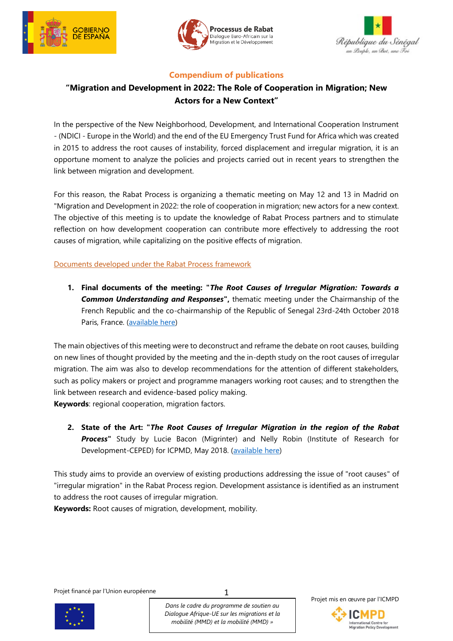





### **Compendium of publications**

# **"Migration and Development in 2022: The Role of Cooperation in Migration; New Actors for a New Context"**

In the perspective of the New Neighborhood, Development, and International Cooperation Instrument - (NDICI - Europe in the World) and the end of the EU Emergency Trust Fund for Africa which was created in 2015 to address the root causes of instability, forced displacement and irregular migration, it is an opportune moment to analyze the policies and projects carried out in recent years to strengthen the link between migration and development.

For this reason, the Rabat Process is organizing a thematic meeting on May 12 and 13 in Madrid on "Migration and Development in 2022: the role of cooperation in migration; new actors for a new context. The objective of this meeting is to update the knowledge of Rabat Process partners and to stimulate reflection on how development cooperation can contribute more effectively to addressing the root causes of migration, while capitalizing on the positive effects of migration.

Documents developed under the Rabat Process framework

**1. Final documents of the meeting: "***The Root Causes of Irregular Migration: Towards a Common Understanding and Responses***",** thematic meeting under the Chairmanship of the French Republic and the co-chairmanship of the Republic of Senegal 23rd-24th October 2018 Paris, France. [\(available here\)](https://www.rabat-process.org/en/activities/technical-meetings/thematic-meeting-on-the-root-causes-of-irregular-migration)

The main objectives of this meeting were to deconstruct and reframe the debate on root causes, building on new lines of thought provided by the meeting and the in-depth study on the root causes of irregular migration. The aim was also to develop recommendations for the attention of different stakeholders, such as policy makers or project and programme managers working root causes; and to strengthen the link between research and evidence-based policy making.

**Keywords**: regional cooperation, migration factors.

**2. State of the Art: "***The Root Causes of Irregular Migration in the region of the Rabat Process***"** Study by Lucie Bacon (Migrinter) and Nelly Robin (Institute of Research for Development-CEPED) for ICPMD, May 2018. [\(available here\)](https://www.rabat-process.org/images/TM-root-causes/EN_Study_State-of-the-art.pdf)

This study aims to provide an overview of existing productions addressing the issue of "root causes" of "irregular migration" in the Rabat Process region. Development assistance is identified as an instrument to address the root causes of irregular migration.

**Keywords:** Root causes of migration, development, mobility.

Projet financé par l'Union européenne



*Dans le cadre du programme de soutien au Dialogue Afrique-UE sur les migrations et la mobilité (MMD) et la mobilité (MMD) »* 

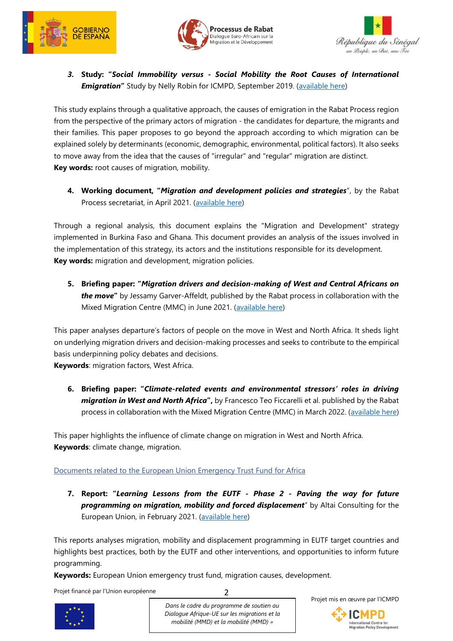





*3.* **Study: "***Social Immobility versus - Social Mobility the Root Causes of International*  **Emigration"** Study by Nelly Robin for ICMPD, September 2019. [\(available here\)](https://www.rabat-process.org/en/activities/publications/social-immobility-versus-social-mobility-the-root-causes-of-international-emigration)

This study explains through a qualitative approach, the causes of emigration in the Rabat Process region from the perspective of the primary actors of migration - the candidates for departure, the migrants and their families. This paper proposes to go beyond the approach according to which migration can be explained solely by determinants (economic, demographic, environmental, political factors). It also seeks to move away from the idea that the causes of "irregular" and "regular" migration are distinct. **Key words:** root causes of migration, mobility.

**4. Working document, "***Migration and development policies and strategies*", by the Rabat Process secretariat, in April 2021. [\(available here\)](https://www.rabat-process.org/en/document-repository/70-studies-publications/304-working-document-m-d-policies-and-strategies/preview?ml=1&iframe=1)

Through a regional analysis, this document explains the "Migration and Development" strategy implemented in Burkina Faso and Ghana. This document provides an analysis of the issues involved in the implementation of this strategy, its actors and the institutions responsible for its development. **Key words:** migration and development, migration policies.

**5. Briefing paper: "***Migration drivers and decision-making of West and Central Africans on the move***"** by Jessamy Garver-Affeldt, published by the Rabat process in collaboration with the Mixed Migration Centre (MMC) in June 2021. [\(available here\)](https://www.rabat-process.org/en/activities/publications/briefing-drivers)

This paper analyses departure's factors of people on the move in West and North Africa. It sheds light on underlying migration drivers and decision-making processes and seeks to contribute to the empirical basis underpinning policy debates and decisions.

**Keywords**: migration factors, West Africa.

**6. Briefing paper: "***Climate-related events and environmental stressors' roles in driving migration in West and North Africa***",** by Francesco Teo Ficcarelli et al. published by the Rabat process in collaboration with the Mixed Migration Centre (MMC) in March 2022. [\(available here\)](https://www.rabat-process.org/en/activities/publications/migration-climate-change-paper)

This paper highlights the influence of climate change on migration in West and North Africa. **Keywords**: climate change, migration.

### Documents related to the European Union Emergency Trust Fund for Africa

**7. Report: "***Learning Lessons from the EUTF - Phase 2 - Paving the way for future programming on migration, mobility and forced displacement*" by Altai Consulting for the European Union, in February 2021. [\(available here\)](https://ec.europa.eu/trustfundforafrica/sites/default/files/learning_lessons_from_the_eutf_final_0.pdf)

This reports analyses migration, mobility and displacement programming in EUTF target countries and highlights best practices, both by the EUTF and other interventions, and opportunities to inform future programming.

2

**Keywords:** European Union emergency trust fund, migration causes, development.

Projet financé par l'Union européenne



*Dans le cadre du programme de soutien au Dialogue Afrique-UE sur les migrations et la mobilité (MMD) et la mobilité (MMD) »* 

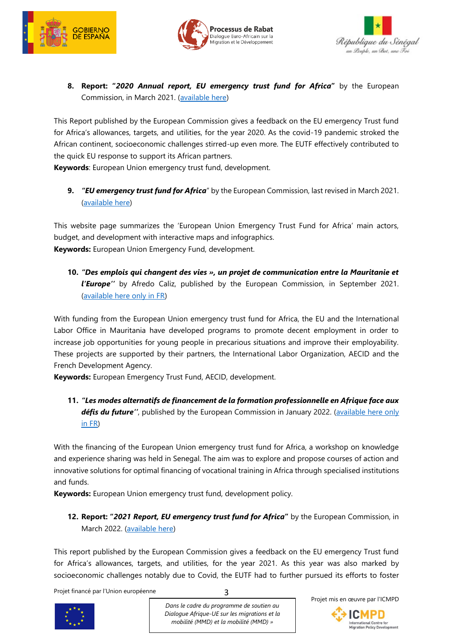





### **8. Report: "***2020 Annual report, EU emergency trust fund for Africa***"** by the European Commission, in March 2021. [\(available here\)](https://ec.europa.eu/trustfundforafrica/sites/default/files/eutf-report_2020_eng_final.pdf)

This Report published by the European Commission gives a feedback on the EU emergency Trust fund for Africa's allowances, targets, and utilities, for the year 2020. As the covid-19 pandemic stroked the African continent, socioeconomic challenges stirred-up even more. The EUTF effectively contributed to the quick EU response to support its African partners.

**Keywords**: European Union emergency trust fund, development.

**9.** *"EU emergency trust fund for Africa*" by the European Commission, last revised in March 2021. [\(available here\)](https://ec.europa.eu/trustfundforafrica/content/trust-fund-financials_en)

This website page summarizes the 'European Union Emergency Trust Fund for Africa' main actors, budget, and development with interactive maps and infographics. **Keywords:** European Union Emergency Fund, development.

**10.** *"Des emplois qui changent des vies », un projet de communication entre la Mauritanie et l'Europe''* by Afredo Caliz, published by the European Commission, in September 2021. [\(available here only in FR\)](https://ec.europa.eu/trustfundforafrica/all-news-and-stories/des-emplois-qui-changent-des-vies-un-projet-de-communication-entre-la_en)

With funding from the European Union emergency trust fund for Africa, the EU and the International Labor Office in Mauritania have developed programs to promote decent employment in order to increase job opportunities for young people in precarious situations and improve their employability. These projects are supported by their partners, the International Labor Organization, AECID and the French Development Agency.

**Keywords:** European Emergency Trust Fund, AECID, development.

**11.** *"Les modes alternatifs de financement de la formation professionnelle en Afrique face aux*  défis du future", published by the European Commission in January 2022. (available here only [in FR\)](https://ec.europa.eu/trustfundforafrica/all-news-and-stories/les-modes-alternatifs-de-financement-de-la-formation-professionnelle-en-afrique_en)

With the financing of the European Union emergency trust fund for Africa, a workshop on knowledge and experience sharing was held in Senegal. The aim was to explore and propose courses of action and innovative solutions for optimal financing of vocational training in Africa through specialised institutions and funds.

**Keywords:** European Union emergency trust fund, development policy.

## **12. Report: "***2021 Report, EU emergency trust fund for Africa***"** by the European Commission, in March 2022. [\(available here\)](http://tender.pomilio.it/data/wp-content/uploads/2022/02/EUTF-REPORT-2021-ENG-for-digital.pdf)

This report published by the European Commission gives a feedback on the EU emergency Trust fund for Africa's allowances, targets, and utilities, for the year 2021. As this year was also marked by socioeconomic challenges notably due to Covid, the EUTF had to further pursued its efforts to foster

3

Projet financé par l'Union européenne



*Dans le cadre du programme de soutien au Dialogue Afrique-UE sur les migrations et la mobilité (MMD) et la mobilité (MMD) »* 

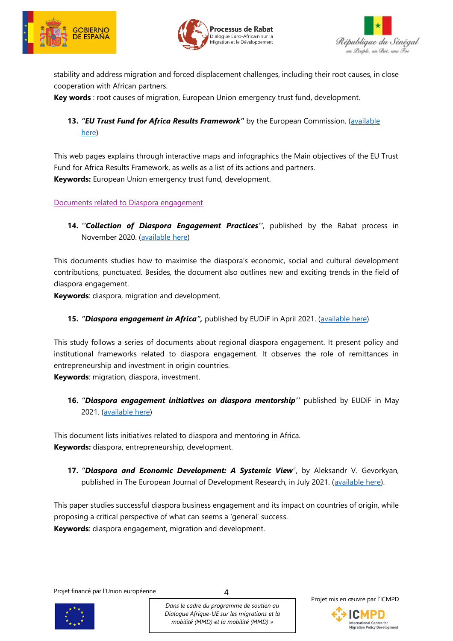





stability and address migration and forced displacement challenges, including their root causes, in close cooperation with African partners.

**Key words** : root causes of migration, European Union emergency trust fund, development.

# **13.** *"EU Trust Fund for Africa Results Framework" by the European Commission. (available* [here\)](https://ec.europa.eu/trustfundforafrica/region/eu-trust-fund-africa-results-framework_en)

This web pages explains through interactive maps and infographics the Main objectives of the EU Trust Fund for Africa Results Framework, as wells as a list of its actions and partners. **Keywords:** European Union emergency trust fund, development.

#### Documents related to Diaspora engagement

**14.** *''Collection of Diaspora Engagement Practices''*, published by the Rabat process in November 2020. [\(available here\)](https://www.rabat-process.org/en/activities/publications/publication-collection-diaspora-engagement-practices)

This documents studies how to maximise the diaspora's economic, social and cultural development contributions, punctuated. Besides, the document also outlines new and exciting trends in the field of diaspora engagement.

**Keywords**: diaspora, migration and development.

#### **15.** *"Diaspora engagement in Africa",* published by EUDiF in April 2021. [\(available here\)](https://diasporafordevelopment.eu/library/regional-series-africa/)

This study follows a series of documents about regional diaspora engagement. It present policy and institutional frameworks related to diaspora engagement. It observes the role of remittances in entrepreneurship and investment in origin countries.

**Keywords**: migration, diaspora, investment.

**16.** *"Diaspora engagement initiatives on diaspora mentorship''* published by EUDiF in May 2021. [\(available here\)](https://diasporafordevelopment.eu/library/collection-mentoring-initiatives/)

This document lists initiatives related to diaspora and mentoring in Africa. **Keywords:** diaspora, entrepreneurship, development.

**17.** *"Diaspora and Economic Development: A Systemic View*", by Aleksandr V. Gevorkyan, published in The European Journal of Development Research, in July 2021. [\(available here\)](https://link.springer.com/article/10.1057/s41287-021-00432-x).

This paper studies successful diaspora business engagement and its impact on countries of origin, while proposing a critical perspective of what can seems a 'general' success. **Keywords**: diaspora engagement, migration and development.

Projet financé par l'Union européenne



*Dans le cadre du programme de soutien au Dialogue Afrique-UE sur les migrations et la mobilité (MMD) et la mobilité (MMD) »* 

 $\Delta$